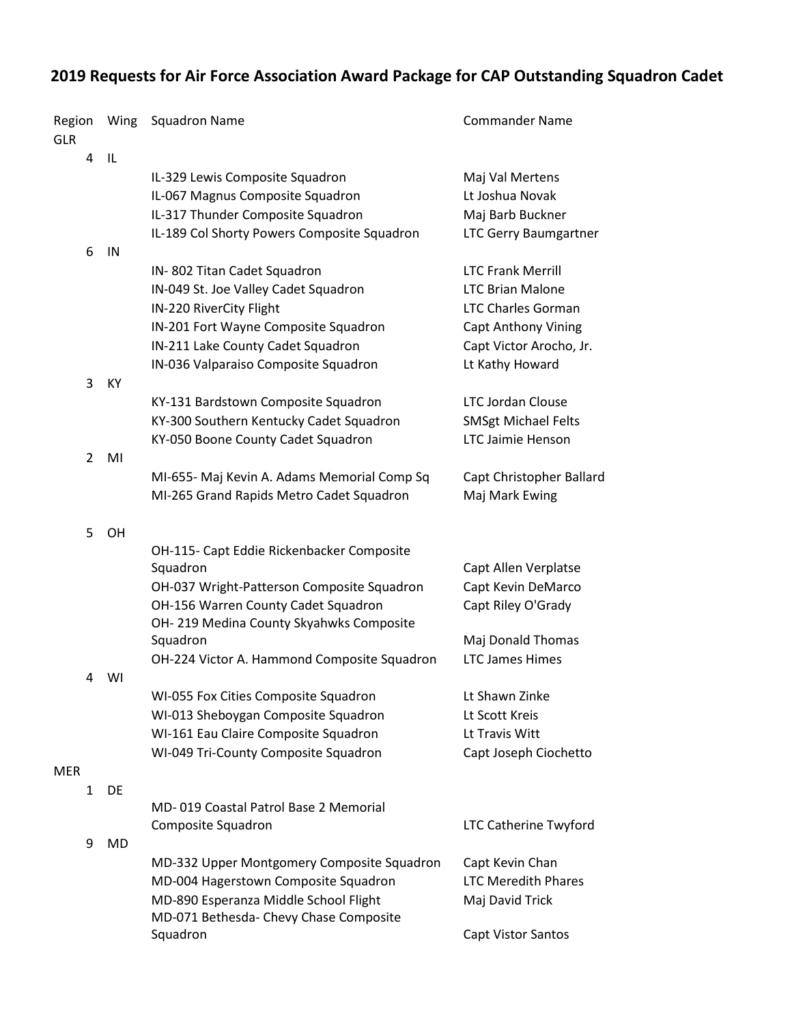## **2019 Requests for Air Force Association Award Package for CAP Outstanding Squadron Cadet**

| Region<br><b>GLR</b> |                | Wing      | <b>Squadron Name</b>                                                           | <b>Commander Name</b>        |
|----------------------|----------------|-----------|--------------------------------------------------------------------------------|------------------------------|
|                      | 4              | - IL      |                                                                                |                              |
|                      |                |           | IL-329 Lewis Composite Squadron                                                | Maj Val Mertens              |
|                      |                |           | IL-067 Magnus Composite Squadron                                               | Lt Joshua Novak              |
|                      |                |           | IL-317 Thunder Composite Squadron                                              | Maj Barb Buckner             |
|                      |                |           | IL-189 Col Shorty Powers Composite Squadron                                    | <b>LTC Gerry Baumgartner</b> |
|                      | 6              | IN        |                                                                                |                              |
|                      |                |           | IN-802 Titan Cadet Squadron                                                    | <b>LTC Frank Merrill</b>     |
|                      |                |           | IN-049 St. Joe Valley Cadet Squadron                                           | <b>LTC Brian Malone</b>      |
|                      |                |           | IN-220 RiverCity Flight                                                        | <b>LTC Charles Gorman</b>    |
|                      |                |           | IN-201 Fort Wayne Composite Squadron                                           | <b>Capt Anthony Vining</b>   |
|                      |                |           | IN-211 Lake County Cadet Squadron                                              | Capt Victor Arocho, Jr.      |
|                      |                |           | IN-036 Valparaiso Composite Squadron                                           | Lt Kathy Howard              |
|                      | 3              | KY        |                                                                                |                              |
|                      |                |           | KY-131 Bardstown Composite Squadron                                            | <b>LTC Jordan Clouse</b>     |
|                      |                |           | KY-300 Southern Kentucky Cadet Squadron                                        | <b>SMSgt Michael Felts</b>   |
|                      |                |           | KY-050 Boone County Cadet Squadron                                             | <b>LTC Jaimie Henson</b>     |
|                      | $\overline{2}$ | MI        |                                                                                |                              |
|                      |                |           | MI-655- Maj Kevin A. Adams Memorial Comp Sq                                    | Capt Christopher Ballard     |
|                      |                |           | MI-265 Grand Rapids Metro Cadet Squadron                                       | Maj Mark Ewing               |
|                      |                |           |                                                                                |                              |
|                      | 5              | OH        |                                                                                |                              |
|                      |                |           | OH-115- Capt Eddie Rickenbacker Composite                                      |                              |
|                      |                |           | Squadron                                                                       | Capt Allen Verplatse         |
|                      |                |           | OH-037 Wright-Patterson Composite Squadron                                     | Capt Kevin DeMarco           |
|                      |                |           | OH-156 Warren County Cadet Squadron<br>OH-219 Medina County Skyahwks Composite | Capt Riley O'Grady           |
|                      |                |           | Squadron                                                                       | Maj Donald Thomas            |
|                      |                |           | OH-224 Victor A. Hammond Composite Squadron                                    | <b>LTC James Himes</b>       |
|                      | 4              | WI        |                                                                                |                              |
|                      |                |           | WI-055 Fox Cities Composite Squadron                                           | Lt Shawn Zinke               |
|                      |                |           | WI-013 Sheboygan Composite Squadron                                            | Lt Scott Kreis               |
|                      |                |           | WI-161 Eau Claire Composite Squadron                                           | Lt Travis Witt               |
|                      |                |           | WI-049 Tri-County Composite Squadron                                           | Capt Joseph Ciochetto        |
| <b>MER</b>           |                |           |                                                                                |                              |
|                      | $\mathbf{1}$   | DE        |                                                                                |                              |
|                      |                |           | MD-019 Coastal Patrol Base 2 Memorial                                          |                              |
|                      |                |           | Composite Squadron                                                             | <b>LTC Catherine Twyford</b> |
|                      | 9              | <b>MD</b> |                                                                                |                              |
|                      |                |           | MD-332 Upper Montgomery Composite Squadron                                     | Capt Kevin Chan              |
|                      |                |           | MD-004 Hagerstown Composite Squadron                                           | <b>LTC Meredith Phares</b>   |
|                      |                |           | MD-890 Esperanza Middle School Flight                                          | Maj David Trick              |
|                      |                |           | MD-071 Bethesda- Chevy Chase Composite                                         |                              |
|                      |                |           | Squadron                                                                       | <b>Capt Vistor Santos</b>    |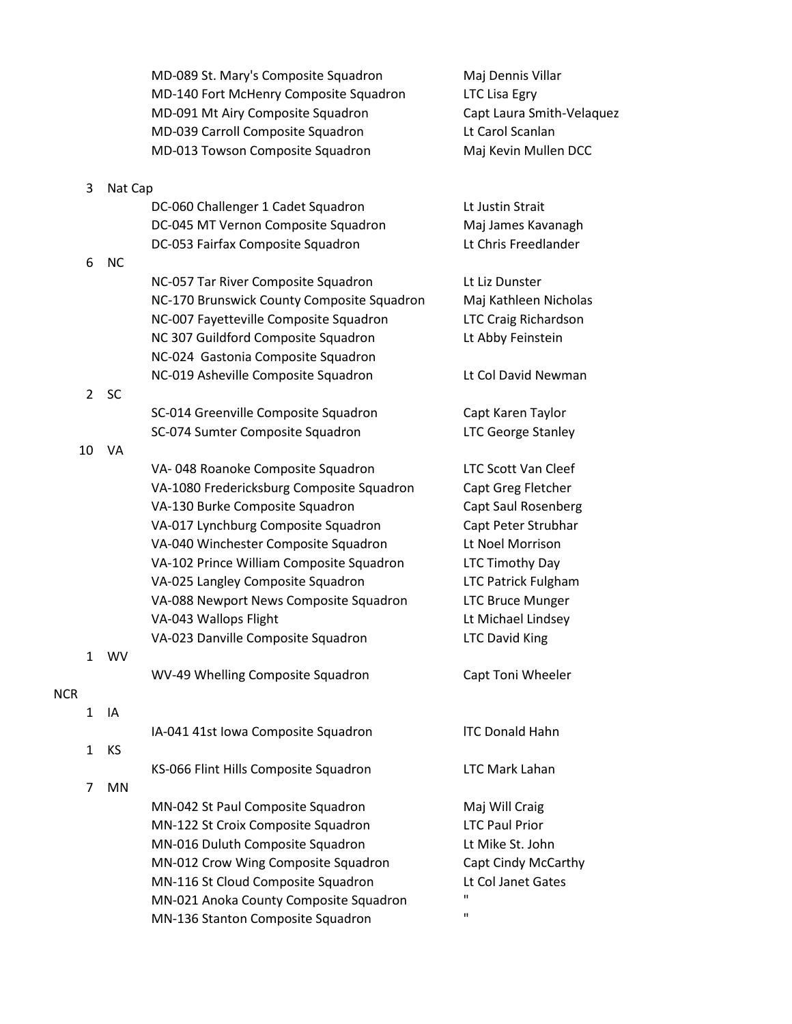|                |           | MD-089 St. Mary's Composite Squadron       | Maj Dennis Villar          |
|----------------|-----------|--------------------------------------------|----------------------------|
|                |           | MD-140 Fort McHenry Composite Squadron     | <b>LTC Lisa Egry</b>       |
|                |           | MD-091 Mt Airy Composite Squadron          | Capt Laura Smith-Velaquez  |
|                |           | MD-039 Carroll Composite Squadron          | Lt Carol Scanlan           |
|                |           | MD-013 Towson Composite Squadron           | Maj Kevin Mullen DCC       |
| 3              | Nat Cap   |                                            |                            |
|                |           | DC-060 Challenger 1 Cadet Squadron         | Lt Justin Strait           |
|                |           | DC-045 MT Vernon Composite Squadron        | Maj James Kavanagh         |
|                |           | DC-053 Fairfax Composite Squadron          | Lt Chris Freedlander       |
| 6              | <b>NC</b> |                                            |                            |
|                |           | NC-057 Tar River Composite Squadron        | Lt Liz Dunster             |
|                |           | NC-170 Brunswick County Composite Squadron | Maj Kathleen Nicholas      |
|                |           | NC-007 Fayetteville Composite Squadron     | LTC Craig Richardson       |
|                |           | NC 307 Guildford Composite Squadron        | Lt Abby Feinstein          |
|                |           | NC-024 Gastonia Composite Squadron         |                            |
|                |           | NC-019 Asheville Composite Squadron        | Lt Col David Newman        |
| $\overline{2}$ | <b>SC</b> |                                            |                            |
|                |           | SC-014 Greenville Composite Squadron       | Capt Karen Taylor          |
|                |           | SC-074 Sumter Composite Squadron           | <b>LTC George Stanley</b>  |
| 10             | VA        |                                            |                            |
|                |           | VA-048 Roanoke Composite Squadron          | <b>LTC Scott Van Cleef</b> |
|                |           | VA-1080 Fredericksburg Composite Squadron  | Capt Greg Fletcher         |
|                |           | VA-130 Burke Composite Squadron            | Capt Saul Rosenberg        |
|                |           | VA-017 Lynchburg Composite Squadron        | Capt Peter Strubhar        |
|                |           | VA-040 Winchester Composite Squadron       | Lt Noel Morrison           |
|                |           | VA-102 Prince William Composite Squadron   | LTC Timothy Day            |
|                |           | VA-025 Langley Composite Squadron          | <b>LTC Patrick Fulgham</b> |
|                |           | VA-088 Newport News Composite Squadron     | <b>LTC Bruce Munger</b>    |
|                |           | VA-043 Wallops Flight                      | Lt Michael Lindsey         |
|                |           | VA-023 Danville Composite Squadron         | <b>LTC David King</b>      |
| 1              | <b>WV</b> |                                            |                            |
|                |           | WV-49 Whelling Composite Squadron          | Capt Toni Wheeler          |
| <b>NCR</b>     |           |                                            |                            |
| $\mathbf{1}$   | IA        |                                            |                            |
|                |           | IA-041 41st Iowa Composite Squadron        | <b>ITC Donald Hahn</b>     |
| $\mathbf{1}$   | <b>KS</b> |                                            |                            |
|                |           | KS-066 Flint Hills Composite Squadron      | <b>LTC Mark Lahan</b>      |
| 7              | <b>MN</b> |                                            |                            |
|                |           | MN-042 St Paul Composite Squadron          | Maj Will Craig             |
|                |           | MN-122 St Croix Composite Squadron         | <b>LTC Paul Prior</b>      |
|                |           | MN-016 Duluth Composite Squadron           | Lt Mike St. John           |
|                |           | MN-012 Crow Wing Composite Squadron        | Capt Cindy McCarthy        |
|                |           | MN-116 St Cloud Composite Squadron         | Lt Col Janet Gates         |
|                |           | MN-021 Anoka County Composite Squadron     | п                          |
|                |           | MN-136 Stanton Composite Squadron          | $\mathbf{H}$               |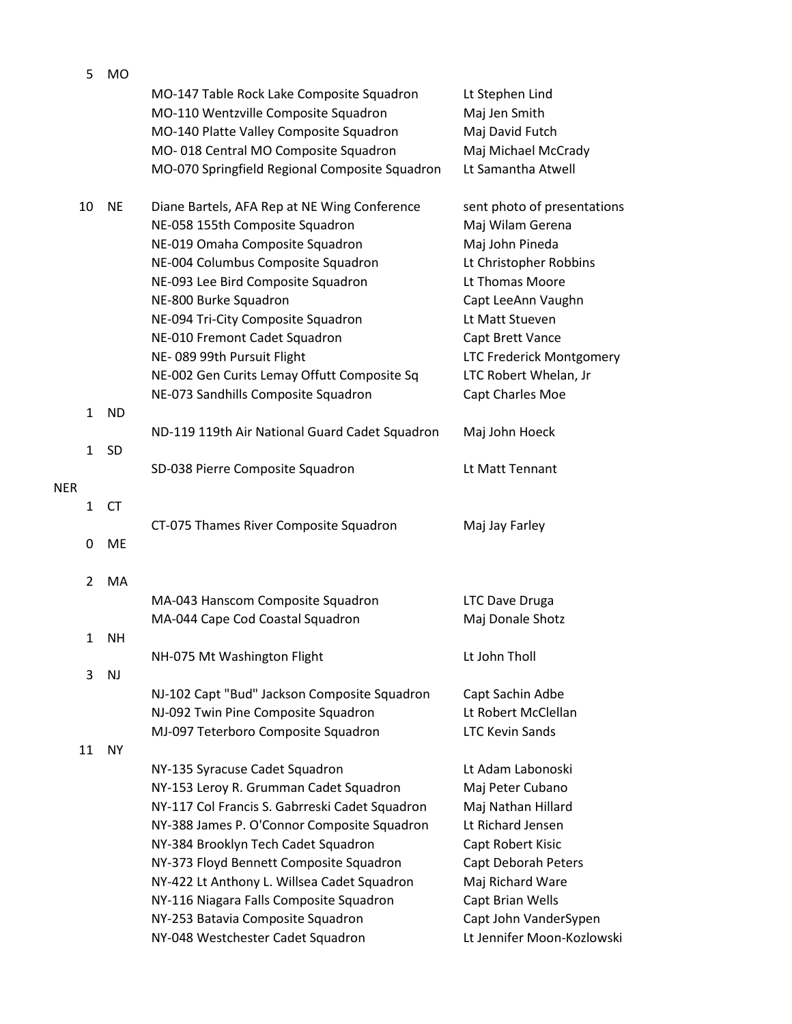| 5            | <b>MO</b> |                                                |                                 |
|--------------|-----------|------------------------------------------------|---------------------------------|
|              |           | MO-147 Table Rock Lake Composite Squadron      | Lt Stephen Lind                 |
|              |           | MO-110 Wentzville Composite Squadron           | Maj Jen Smith                   |
|              |           | MO-140 Platte Valley Composite Squadron        | Maj David Futch                 |
|              |           | MO-018 Central MO Composite Squadron           | Maj Michael McCrady             |
|              |           | MO-070 Springfield Regional Composite Squadron | Lt Samantha Atwell              |
|              |           |                                                |                                 |
| 10           | <b>NE</b> | Diane Bartels, AFA Rep at NE Wing Conference   | sent photo of presentations     |
|              |           | NE-058 155th Composite Squadron                | Maj Wilam Gerena                |
|              |           | NE-019 Omaha Composite Squadron                | Maj John Pineda                 |
|              |           | NE-004 Columbus Composite Squadron             | Lt Christopher Robbins          |
|              |           | NE-093 Lee Bird Composite Squadron             | Lt Thomas Moore                 |
|              |           | NE-800 Burke Squadron                          | Capt LeeAnn Vaughn              |
|              |           | NE-094 Tri-City Composite Squadron             | Lt Matt Stueven                 |
|              |           | NE-010 Fremont Cadet Squadron                  | Capt Brett Vance                |
|              |           | NE-089 99th Pursuit Flight                     | <b>LTC Frederick Montgomery</b> |
|              |           | NE-002 Gen Curits Lemay Offutt Composite Sq    | LTC Robert Whelan, Jr           |
|              |           | NE-073 Sandhills Composite Squadron            |                                 |
| $\mathbf{1}$ | <b>ND</b> |                                                | Capt Charles Moe                |
|              |           | ND-119 119th Air National Guard Cadet Squadron | Maj John Hoeck                  |
| 1            | <b>SD</b> |                                                |                                 |
|              |           | SD-038 Pierre Composite Squadron               | Lt Matt Tennant                 |
| <b>NER</b>   |           |                                                |                                 |
| $\mathbf{1}$ | <b>CT</b> |                                                |                                 |
|              |           | CT-075 Thames River Composite Squadron         | Maj Jay Farley                  |
| 0            | ME        |                                                |                                 |
|              |           |                                                |                                 |
| 2            | MA        |                                                |                                 |
|              |           | MA-043 Hanscom Composite Squadron              | <b>LTC Dave Druga</b>           |
|              |           | MA-044 Cape Cod Coastal Squadron               | Maj Donale Shotz                |
| 1            | <b>NH</b> |                                                |                                 |
|              |           | NH-075 Mt Washington Flight                    | Lt John Tholl                   |
| 3            | <b>NJ</b> |                                                |                                 |
|              |           | NJ-102 Capt "Bud" Jackson Composite Squadron   | Capt Sachin Adbe                |
|              |           | NJ-092 Twin Pine Composite Squadron            | Lt Robert McClellan             |
|              |           | MJ-097 Teterboro Composite Squadron            | <b>LTC Kevin Sands</b>          |
| 11           | <b>NY</b> |                                                |                                 |
|              |           | NY-135 Syracuse Cadet Squadron                 | Lt Adam Labonoski               |
|              |           | NY-153 Leroy R. Grumman Cadet Squadron         | Maj Peter Cubano                |
|              |           | NY-117 Col Francis S. Gabrreski Cadet Squadron | Maj Nathan Hillard              |
|              |           | NY-388 James P. O'Connor Composite Squadron    | Lt Richard Jensen               |
|              |           | NY-384 Brooklyn Tech Cadet Squadron            | Capt Robert Kisic               |
|              |           | NY-373 Floyd Bennett Composite Squadron        | Capt Deborah Peters             |
|              |           | NY-422 Lt Anthony L. Willsea Cadet Squadron    | Maj Richard Ware                |
|              |           | NY-116 Niagara Falls Composite Squadron        | Capt Brian Wells                |
|              |           | NY-253 Batavia Composite Squadron              | Capt John VanderSypen           |
|              |           | NY-048 Westchester Cadet Squadron              | Lt Jennifer Moon-Kozlowski      |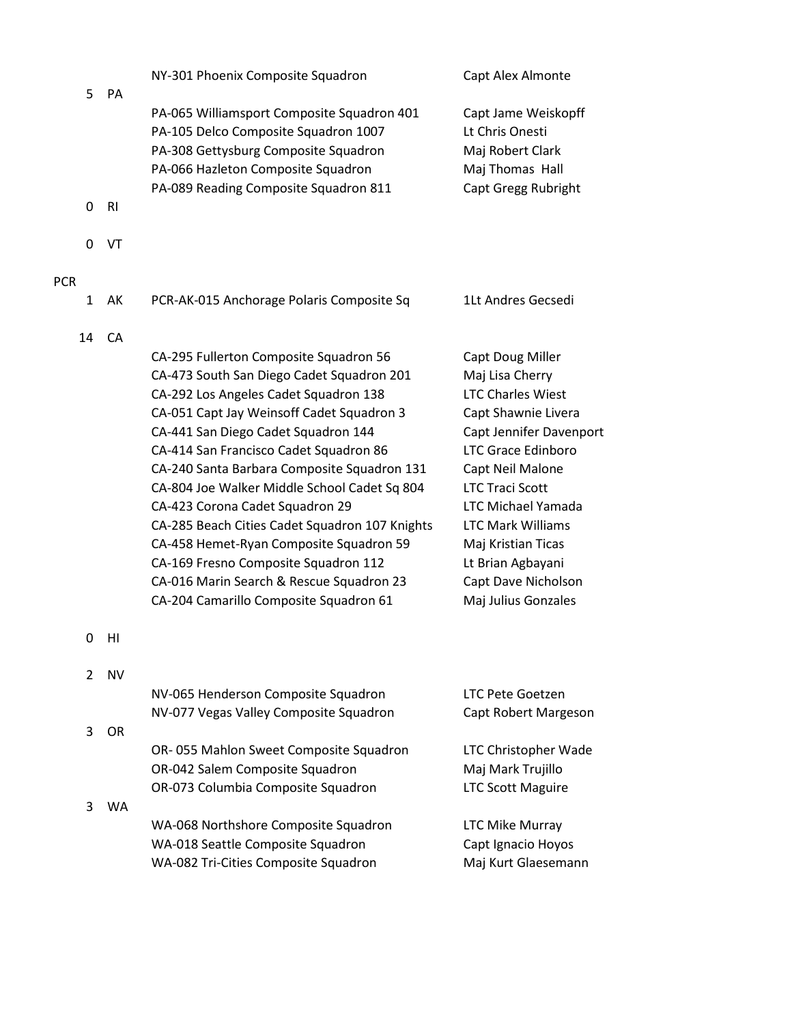| 5                          | PA             | NY-301 Phoenix Composite Squadron                                                                                                                                                                                                                                                                                                                                                                                                                                                                                                                                                                                       | Capt Alex Almonte                                                                                                                                                                                                                                                                                                                       |
|----------------------------|----------------|-------------------------------------------------------------------------------------------------------------------------------------------------------------------------------------------------------------------------------------------------------------------------------------------------------------------------------------------------------------------------------------------------------------------------------------------------------------------------------------------------------------------------------------------------------------------------------------------------------------------------|-----------------------------------------------------------------------------------------------------------------------------------------------------------------------------------------------------------------------------------------------------------------------------------------------------------------------------------------|
|                            |                | PA-065 Williamsport Composite Squadron 401<br>PA-105 Delco Composite Squadron 1007<br>PA-308 Gettysburg Composite Squadron<br>PA-066 Hazleton Composite Squadron<br>PA-089 Reading Composite Squadron 811                                                                                                                                                                                                                                                                                                                                                                                                               | Capt Jame Weiskopff<br>Lt Chris Onesti<br>Maj Robert Clark<br>Maj Thomas Hall<br>Capt Gregg Rubright                                                                                                                                                                                                                                    |
| 0                          | R <sub>l</sub> |                                                                                                                                                                                                                                                                                                                                                                                                                                                                                                                                                                                                                         |                                                                                                                                                                                                                                                                                                                                         |
| 0                          | VT             |                                                                                                                                                                                                                                                                                                                                                                                                                                                                                                                                                                                                                         |                                                                                                                                                                                                                                                                                                                                         |
| <b>PCR</b><br>$\mathbf{1}$ | AK             | PCR-AK-015 Anchorage Polaris Composite Sq                                                                                                                                                                                                                                                                                                                                                                                                                                                                                                                                                                               | 1Lt Andres Gecsedi                                                                                                                                                                                                                                                                                                                      |
| 14                         | CA             | CA-295 Fullerton Composite Squadron 56<br>CA-473 South San Diego Cadet Squadron 201<br>CA-292 Los Angeles Cadet Squadron 138<br>CA-051 Capt Jay Weinsoff Cadet Squadron 3<br>CA-441 San Diego Cadet Squadron 144<br>CA-414 San Francisco Cadet Squadron 86<br>CA-240 Santa Barbara Composite Squadron 131<br>CA-804 Joe Walker Middle School Cadet Sq 804<br>CA-423 Corona Cadet Squadron 29<br>CA-285 Beach Cities Cadet Squadron 107 Knights<br>CA-458 Hemet-Ryan Composite Squadron 59<br>CA-169 Fresno Composite Squadron 112<br>CA-016 Marin Search & Rescue Squadron 23<br>CA-204 Camarillo Composite Squadron 61 | Capt Doug Miller<br>Maj Lisa Cherry<br><b>LTC Charles Wiest</b><br>Capt Shawnie Livera<br>Capt Jennifer Davenport<br><b>LTC Grace Edinboro</b><br>Capt Neil Malone<br><b>LTC Traci Scott</b><br>LTC Michael Yamada<br><b>LTC Mark Williams</b><br>Maj Kristian Ticas<br>Lt Brian Agbayani<br>Capt Dave Nicholson<br>Maj Julius Gonzales |
| 0                          | HI             |                                                                                                                                                                                                                                                                                                                                                                                                                                                                                                                                                                                                                         |                                                                                                                                                                                                                                                                                                                                         |
| 2                          | <b>NV</b>      | NV-065 Henderson Composite Squadron<br>NV-077 Vegas Valley Composite Squadron                                                                                                                                                                                                                                                                                                                                                                                                                                                                                                                                           | <b>LTC Pete Goetzen</b><br>Capt Robert Margeson                                                                                                                                                                                                                                                                                         |
| 3                          | <b>OR</b>      | OR-055 Mahlon Sweet Composite Squadron<br>OR-042 Salem Composite Squadron<br>OR-073 Columbia Composite Squadron                                                                                                                                                                                                                                                                                                                                                                                                                                                                                                         | LTC Christopher Wade<br>Maj Mark Trujillo<br><b>LTC Scott Maguire</b>                                                                                                                                                                                                                                                                   |
| 3                          | WA.            | WA-068 Northshore Composite Squadron<br>WA-018 Seattle Composite Squadron<br>WA-082 Tri-Cities Composite Squadron                                                                                                                                                                                                                                                                                                                                                                                                                                                                                                       | <b>LTC Mike Murray</b><br>Capt Ignacio Hoyos<br>Maj Kurt Glaesemann                                                                                                                                                                                                                                                                     |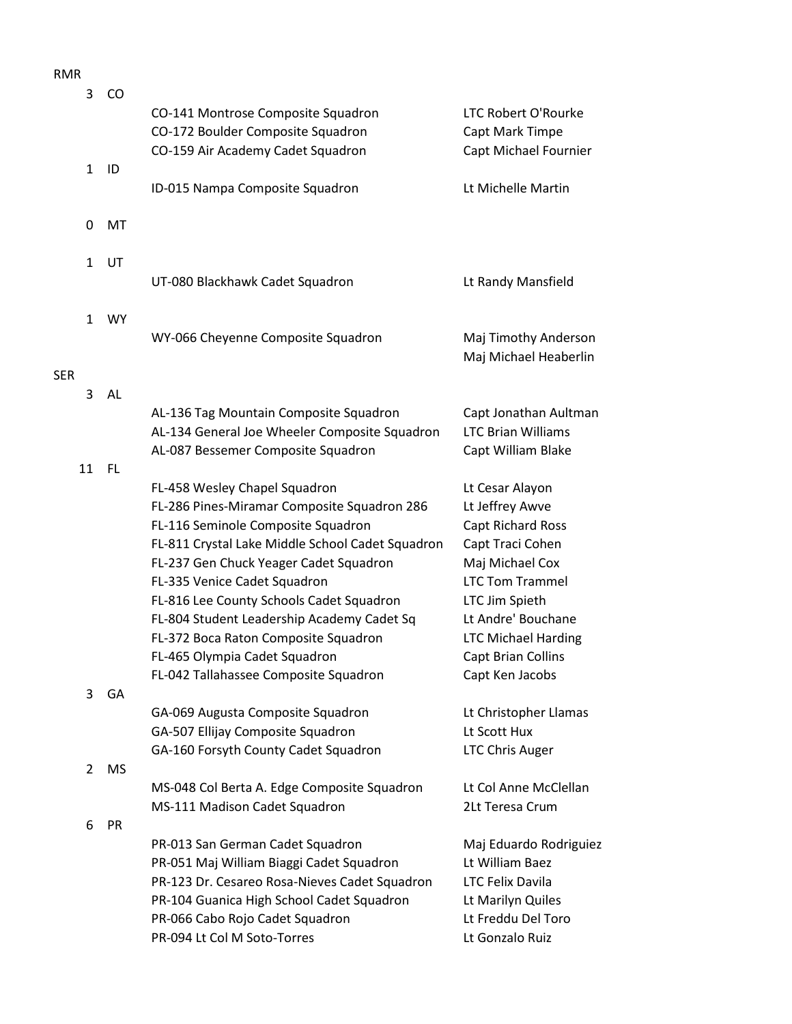## RMR

|            | 3            | CO        | CO-141 Montrose Composite Squadron                                                                                            | LTC Robert O'Rourke                                                      |
|------------|--------------|-----------|-------------------------------------------------------------------------------------------------------------------------------|--------------------------------------------------------------------------|
|            | $\mathbf{1}$ | ID        | CO-172 Boulder Composite Squadron<br>CO-159 Air Academy Cadet Squadron                                                        | Capt Mark Timpe<br>Capt Michael Fournier                                 |
|            |              |           | ID-015 Nampa Composite Squadron                                                                                               | Lt Michelle Martin                                                       |
|            | 0            | MT        |                                                                                                                               |                                                                          |
|            | $\mathbf{1}$ | UT        | UT-080 Blackhawk Cadet Squadron                                                                                               | Lt Randy Mansfield                                                       |
|            | $\mathbf{1}$ | <b>WY</b> | WY-066 Cheyenne Composite Squadron                                                                                            |                                                                          |
| <b>SER</b> |              |           |                                                                                                                               | Maj Timothy Anderson<br>Maj Michael Heaberlin                            |
|            | 3            | AL        |                                                                                                                               |                                                                          |
|            |              |           | AL-136 Tag Mountain Composite Squadron<br>AL-134 General Joe Wheeler Composite Squadron<br>AL-087 Bessemer Composite Squadron | Capt Jonathan Aultman<br><b>LTC Brian Williams</b><br>Capt William Blake |
|            | 11           | <b>FL</b> |                                                                                                                               |                                                                          |
|            |              |           | FL-458 Wesley Chapel Squadron                                                                                                 | Lt Cesar Alayon                                                          |
|            |              |           | FL-286 Pines-Miramar Composite Squadron 286                                                                                   | Lt Jeffrey Awve                                                          |
|            |              |           | FL-116 Seminole Composite Squadron                                                                                            | Capt Richard Ross                                                        |
|            |              |           | FL-811 Crystal Lake Middle School Cadet Squadron                                                                              | Capt Traci Cohen                                                         |
|            |              |           | FL-237 Gen Chuck Yeager Cadet Squadron                                                                                        | Maj Michael Cox                                                          |
|            |              |           | FL-335 Venice Cadet Squadron                                                                                                  | <b>LTC Tom Trammel</b>                                                   |
|            |              |           | FL-816 Lee County Schools Cadet Squadron                                                                                      | LTC Jim Spieth                                                           |
|            |              |           | FL-804 Student Leadership Academy Cadet Sq                                                                                    | Lt Andre' Bouchane                                                       |
|            |              |           | FL-372 Boca Raton Composite Squadron                                                                                          | <b>LTC Michael Harding</b>                                               |
|            |              |           | FL-465 Olympia Cadet Squadron<br>FL-042 Tallahassee Composite Squadron                                                        | Capt Brian Collins<br>Capt Ken Jacobs                                    |
|            | 3            | GA        |                                                                                                                               |                                                                          |
|            |              |           | GA-069 Augusta Composite Squadron                                                                                             | Lt Christopher Llamas                                                    |
|            |              |           | GA-507 Ellijay Composite Squadron                                                                                             | Lt Scott Hux                                                             |
|            |              |           | GA-160 Forsyth County Cadet Squadron                                                                                          | <b>LTC Chris Auger</b>                                                   |
|            | 2            | <b>MS</b> |                                                                                                                               |                                                                          |
|            |              |           | MS-048 Col Berta A. Edge Composite Squadron                                                                                   | Lt Col Anne McClellan                                                    |
|            |              |           | MS-111 Madison Cadet Squadron                                                                                                 | 2Lt Teresa Crum                                                          |
|            | 6            | PR        |                                                                                                                               |                                                                          |
|            |              |           | PR-013 San German Cadet Squadron                                                                                              | Maj Eduardo Rodriguiez                                                   |
|            |              |           | PR-051 Maj William Biaggi Cadet Squadron                                                                                      | Lt William Baez                                                          |
|            |              |           | PR-123 Dr. Cesareo Rosa-Nieves Cadet Squadron                                                                                 | <b>LTC Felix Davila</b>                                                  |
|            |              |           | PR-104 Guanica High School Cadet Squadron                                                                                     | Lt Marilyn Quiles                                                        |
|            |              |           | PR-066 Cabo Rojo Cadet Squadron                                                                                               | Lt Freddu Del Toro                                                       |
|            |              |           | PR-094 Lt Col M Soto-Torres                                                                                                   | Lt Gonzalo Ruiz                                                          |